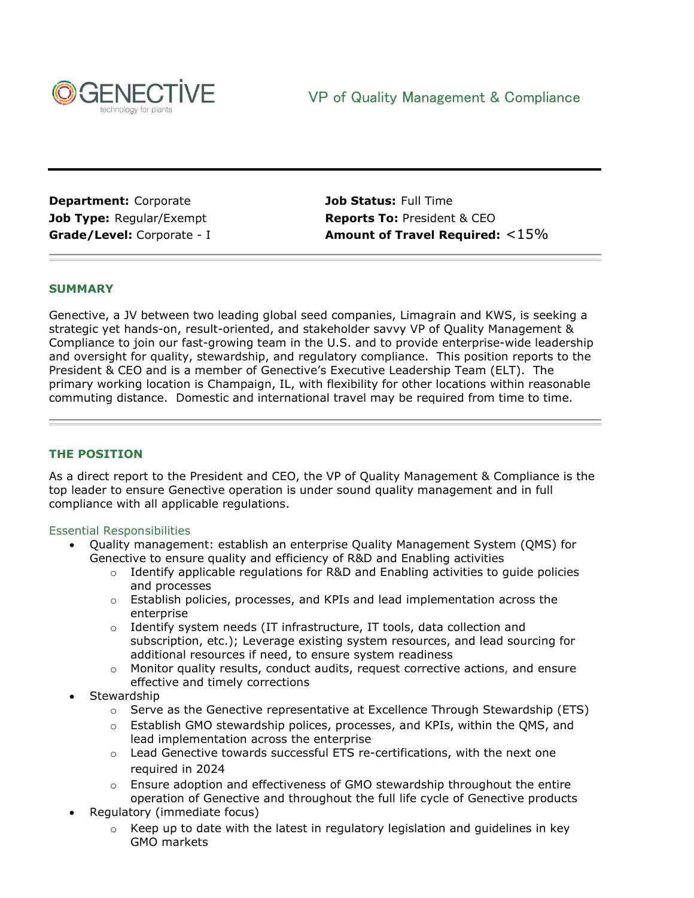

**Department:** Corporate **Job Status:** Full Time

**Job Type:** Regular/Exempt **Reports To:** President & CEO **Grade/Level:** Corporate - I **Amount of Travel Required:** <15%

## **SUMMARY**

Genective, a JV between two leading global seed companies, Limagrain and KWS, is seeking a strategic yet hands-on, result-oriented, and stakeholder savvy VP of Quality Management & Compliance to join our fast-growing team in the U.S. and to provide enterprise-wide leadership and oversight for quality, stewardship, and regulatory compliance. This position reports to the President & CEO and is a member of Genective's Executive Leadership Team (ELT). The primary working location is Champaign, IL, with flexibility for other locations within reasonable commuting distance. Domestic and international travel may be required from time to time.

## **THE POSITION**

As a direct report to the President and CEO, the VP of Quality Management & Compliance is the top leader to ensure Genective operation is under sound quality management and in full compliance with all applicable regulations.

## Essential Responsibilities

- Quality management: establish an enterprise Quality Management System (QMS) for Genective to ensure quality and efficiency of R&D and Enabling activities
	- $\circ$  Identify applicable regulations for R&D and Enabling activities to quide policies and processes
	- $\circ$  Establish policies, processes, and KPIs and lead implementation across the enterprise
	- o Identify system needs (IT infrastructure, IT tools, data collection and subscription, etc.); Leverage existing system resources, and lead sourcing for additional resources if need, to ensure system readiness
	- $\circ$  Monitor quality results, conduct audits, request corrective actions, and ensure effective and timely corrections
- **Stewardship** 
	- $\circ$  Serve as the Genective representative at Excellence Through Stewardship (ETS)
	- $\circ$  Establish GMO stewardship polices, processes, and KPIs, within the QMS, and lead implementation across the enterprise
	- $\circ$  Lead Genective towards successful ETS re-certifications, with the next one required in 2024
	- o Ensure adoption and effectiveness of GMO stewardship throughout the entire operation of Genective and throughout the full life cycle of Genective products
- Regulatory (immediate focus)
	- $\circ$  Keep up to date with the latest in regulatory legislation and guidelines in key GMO markets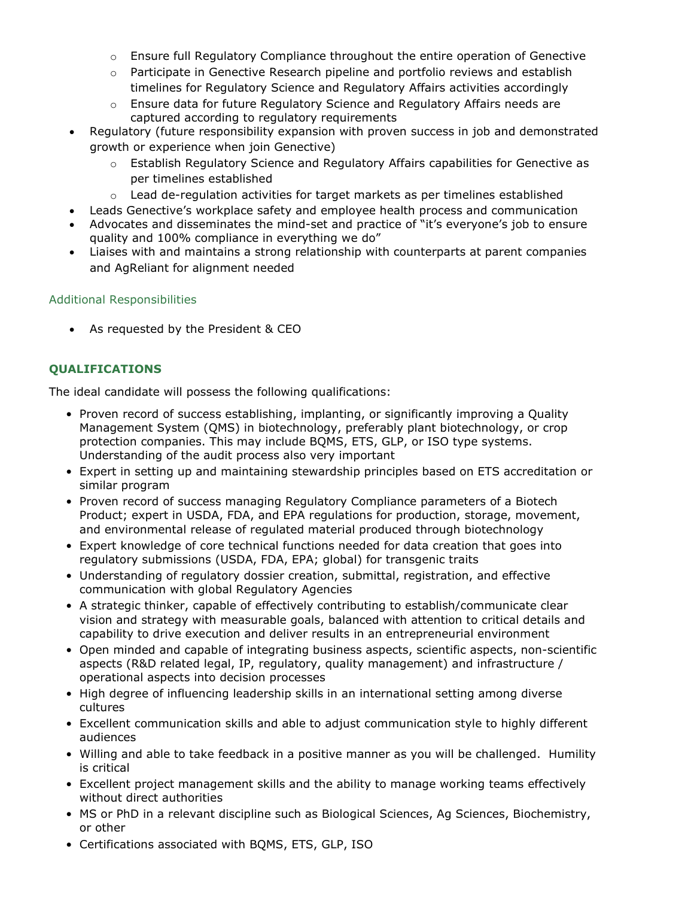- $\circ$  Ensure full Regulatory Compliance throughout the entire operation of Genective
- o Participate in Genective Research pipeline and portfolio reviews and establish timelines for Regulatory Science and Regulatory Affairs activities accordingly
- o Ensure data for future Regulatory Science and Regulatory Affairs needs are captured according to regulatory requirements
- Regulatory (future responsibility expansion with proven success in job and demonstrated growth or experience when join Genective)
	- o Establish Regulatory Science and Regulatory Affairs capabilities for Genective as per timelines established
	- $\circ$  Lead de-regulation activities for target markets as per timelines established
- Leads Genective's workplace safety and employee health process and communication
- Advocates and disseminates the mind-set and practice of "it's everyone's job to ensure quality and 100% compliance in everything we do"
- Liaises with and maintains a strong relationship with counterparts at parent companies and AgReliant for alignment needed

# Additional Responsibilities

• As requested by the President & CEO

# **QUALIFICATIONS**

The ideal candidate will possess the following qualifications:

- Proven record of success establishing, implanting, or significantly improving a Quality Management System (QMS) in biotechnology, preferably plant biotechnology, or crop protection companies. This may include BQMS, ETS, GLP, or ISO type systems. Understanding of the audit process also very important
- Expert in setting up and maintaining stewardship principles based on ETS accreditation or similar program
- Proven record of success managing Regulatory Compliance parameters of a Biotech Product; expert in USDA, FDA, and EPA regulations for production, storage, movement, and environmental release of regulated material produced through biotechnology
- Expert knowledge of core technical functions needed for data creation that goes into regulatory submissions (USDA, FDA, EPA; global) for transgenic traits
- Understanding of regulatory dossier creation, submittal, registration, and effective communication with global Regulatory Agencies
- A strategic thinker, capable of effectively contributing to establish/communicate clear vision and strategy with measurable goals, balanced with attention to critical details and capability to drive execution and deliver results in an entrepreneurial environment
- Open minded and capable of integrating business aspects, scientific aspects, non-scientific aspects (R&D related legal, IP, regulatory, quality management) and infrastructure / operational aspects into decision processes
- High degree of influencing leadership skills in an international setting among diverse cultures
- Excellent communication skills and able to adjust communication style to highly different audiences
- Willing and able to take feedback in a positive manner as you will be challenged. Humility is critical
- Excellent project management skills and the ability to manage working teams effectively without direct authorities
- MS or PhD in a relevant discipline such as Biological Sciences, Ag Sciences, Biochemistry, or other
- Certifications associated with BQMS, ETS, GLP, ISO